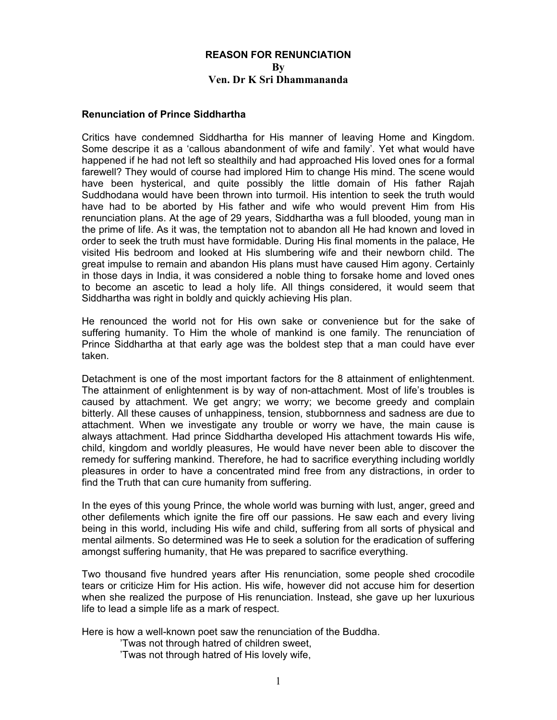# **REASON FOR RENUNCIATION By Ven. Dr K Sri Dhammananda**

### **Renunciation of Prince Siddhartha**

Critics have condemned Siddhartha for His manner of leaving Home and Kingdom. Some descripe it as a 'callous abandonment of wife and family'. Yet what would have happened if he had not left so stealthily and had approached His loved ones for a formal farewell? They would of course had implored Him to change His mind. The scene would have been hysterical, and quite possibly the little domain of His father Rajah Suddhodana would have been thrown into turmoil. His intention to seek the truth would have had to be aborted by His father and wife who would prevent Him from His renunciation plans. At the age of 29 years, Siddhartha was a full blooded, young man in the prime of life. As it was, the temptation not to abandon all He had known and loved in order to seek the truth must have formidable. During His final moments in the palace, He visited His bedroom and looked at His slumbering wife and their newborn child. The great impulse to remain and abandon His plans must have caused Him agony. Certainly in those days in India, it was considered a noble thing to forsake home and loved ones to become an ascetic to lead a holy life. All things considered, it would seem that Siddhartha was right in boldly and quickly achieving His plan.

He renounced the world not for His own sake or convenience but for the sake of suffering humanity. To Him the whole of mankind is one family. The renunciation of Prince Siddhartha at that early age was the boldest step that a man could have ever taken.

Detachment is one of the most important factors for the 8 attainment of enlightenment. The attainment of enlightenment is by way of non-attachment. Most of life's troubles is caused by attachment. We get angry; we worry; we become greedy and complain bitterly. All these causes of unhappiness, tension, stubbornness and sadness are due to attachment. When we investigate any trouble or worry we have, the main cause is always attachment. Had prince Siddhartha developed His attachment towards His wife, child, kingdom and worldly pleasures, He would have never been able to discover the remedy for suffering mankind. Therefore, he had to sacrifice everything including worldly pleasures in order to have a concentrated mind free from any distractions, in order to find the Truth that can cure humanity from suffering.

In the eyes of this young Prince, the whole world was burning with lust, anger, greed and other defilements which ignite the fire off our passions. He saw each and every living being in this world, including His wife and child, suffering from all sorts of physical and mental ailments. So determined was He to seek a solution for the eradication of suffering amongst suffering humanity, that He was prepared to sacrifice everything.

Two thousand five hundred years after His renunciation, some people shed crocodile tears or criticize Him for His action. His wife, however did not accuse him for desertion when she realized the purpose of His renunciation. Instead, she gave up her luxurious life to lead a simple life as a mark of respect.

Here is how a well-known poet saw the renunciation of the Buddha.

'Twas not through hatred of children sweet,

'Twas not through hatred of His lovely wife,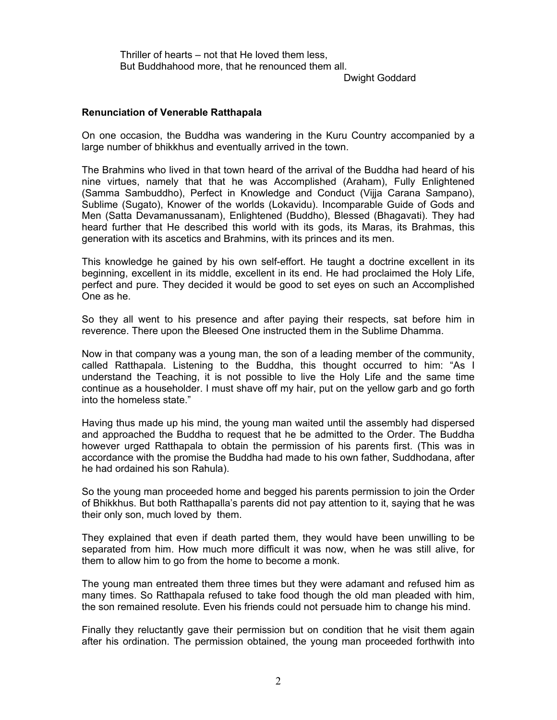Thriller of hearts – not that He loved them less, But Buddhahood more, that he renounced them all.

Dwight Goddard

## **Renunciation of Venerable Ratthapala**

On one occasion, the Buddha was wandering in the Kuru Country accompanied by a large number of bhikkhus and eventually arrived in the town.

The Brahmins who lived in that town heard of the arrival of the Buddha had heard of his nine virtues, namely that that he was Accomplished (Araham), Fully Enlightened (Samma Sambuddho), Perfect in Knowledge and Conduct (Vijja Carana Sampano), Sublime (Sugato), Knower of the worlds (Lokavidu). Incomparable Guide of Gods and Men (Satta Devamanussanam), Enlightened (Buddho), Blessed (Bhagavati). They had heard further that He described this world with its gods, its Maras, its Brahmas, this generation with its ascetics and Brahmins, with its princes and its men.

This knowledge he gained by his own self-effort. He taught a doctrine excellent in its beginning, excellent in its middle, excellent in its end. He had proclaimed the Holy Life, perfect and pure. They decided it would be good to set eyes on such an Accomplished One as he.

So they all went to his presence and after paying their respects, sat before him in reverence. There upon the Bleesed One instructed them in the Sublime Dhamma.

Now in that company was a young man, the son of a leading member of the community, called Ratthapala. Listening to the Buddha, this thought occurred to him: "As I understand the Teaching, it is not possible to live the Holy Life and the same time continue as a householder. I must shave off my hair, put on the yellow garb and go forth into the homeless state."

Having thus made up his mind, the young man waited until the assembly had dispersed and approached the Buddha to request that he be admitted to the Order. The Buddha however urged Ratthapala to obtain the permission of his parents first. (This was in accordance with the promise the Buddha had made to his own father, Suddhodana, after he had ordained his son Rahula).

So the young man proceeded home and begged his parents permission to join the Order of Bhikkhus. But both Ratthapalla's parents did not pay attention to it, saying that he was their only son, much loved by them.

They explained that even if death parted them, they would have been unwilling to be separated from him. How much more difficult it was now, when he was still alive, for them to allow him to go from the home to become a monk.

The young man entreated them three times but they were adamant and refused him as many times. So Ratthapala refused to take food though the old man pleaded with him, the son remained resolute. Even his friends could not persuade him to change his mind.

Finally they reluctantly gave their permission but on condition that he visit them again after his ordination. The permission obtained, the young man proceeded forthwith into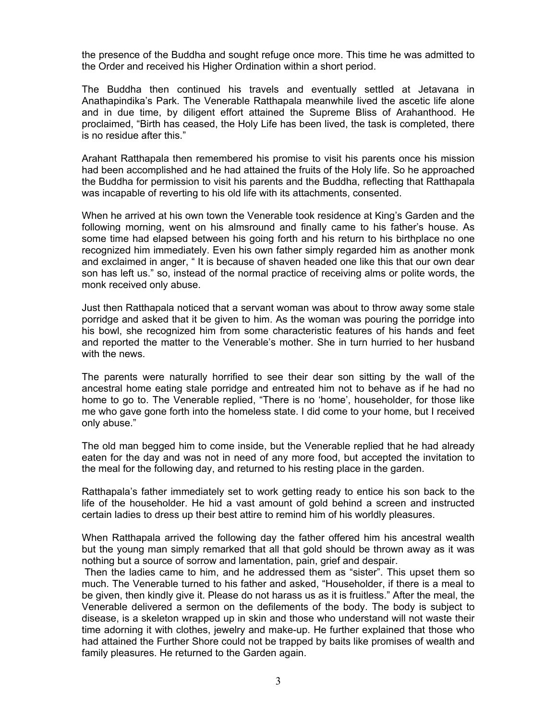the presence of the Buddha and sought refuge once more. This time he was admitted to the Order and received his Higher Ordination within a short period.

The Buddha then continued his travels and eventually settled at Jetavana in Anathapindika's Park. The Venerable Ratthapala meanwhile lived the ascetic life alone and in due time, by diligent effort attained the Supreme Bliss of Arahanthood. He proclaimed, "Birth has ceased, the Holy Life has been lived, the task is completed, there is no residue after this."

Arahant Ratthapala then remembered his promise to visit his parents once his mission had been accomplished and he had attained the fruits of the Holy life. So he approached the Buddha for permission to visit his parents and the Buddha, reflecting that Ratthapala was incapable of reverting to his old life with its attachments, consented.

When he arrived at his own town the Venerable took residence at King's Garden and the following morning, went on his almsround and finally came to his father's house. As some time had elapsed between his going forth and his return to his birthplace no one recognized him immediately. Even his own father simply regarded him as another monk and exclaimed in anger, " It is because of shaven headed one like this that our own dear son has left us." so, instead of the normal practice of receiving alms or polite words, the monk received only abuse.

Just then Ratthapala noticed that a servant woman was about to throw away some stale porridge and asked that it be given to him. As the woman was pouring the porridge into his bowl, she recognized him from some characteristic features of his hands and feet and reported the matter to the Venerable's mother. She in turn hurried to her husband with the news.

The parents were naturally horrified to see their dear son sitting by the wall of the ancestral home eating stale porridge and entreated him not to behave as if he had no home to go to. The Venerable replied, "There is no 'home', householder, for those like me who gave gone forth into the homeless state. I did come to your home, but I received only abuse."

The old man begged him to come inside, but the Venerable replied that he had already eaten for the day and was not in need of any more food, but accepted the invitation to the meal for the following day, and returned to his resting place in the garden.

Ratthapala's father immediately set to work getting ready to entice his son back to the life of the householder. He hid a vast amount of gold behind a screen and instructed certain ladies to dress up their best attire to remind him of his worldly pleasures.

When Ratthapala arrived the following day the father offered him his ancestral wealth but the young man simply remarked that all that gold should be thrown away as it was nothing but a source of sorrow and lamentation, pain, grief and despair.

Then the ladies came to him, and he addressed them as "sister". This upset them so much. The Venerable turned to his father and asked, "Householder, if there is a meal to be given, then kindly give it. Please do not harass us as it is fruitless." After the meal, the Venerable delivered a sermon on the defilements of the body. The body is subject to disease, is a skeleton wrapped up in skin and those who understand will not waste their time adorning it with clothes, jewelry and make-up. He further explained that those who had attained the Further Shore could not be trapped by baits like promises of wealth and family pleasures. He returned to the Garden again.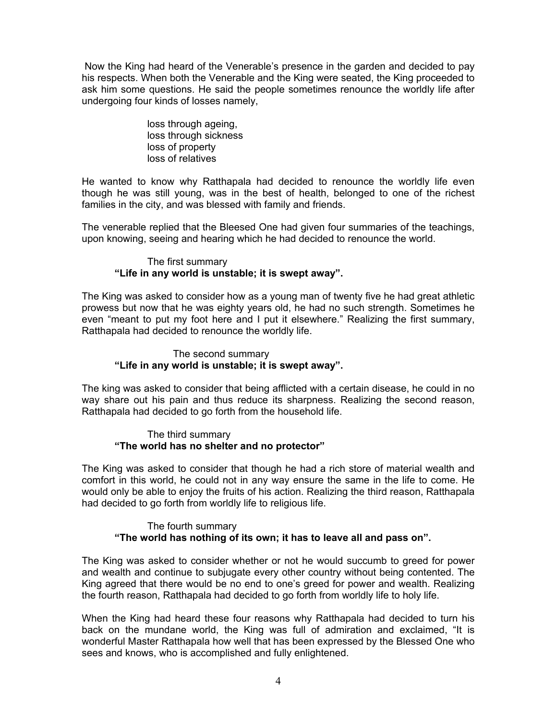Now the King had heard of the Venerable's presence in the garden and decided to pay his respects. When both the Venerable and the King were seated, the King proceeded to ask him some questions. He said the people sometimes renounce the worldly life after undergoing four kinds of losses namely,

> loss through ageing, loss through sickness loss of property loss of relatives

He wanted to know why Ratthapala had decided to renounce the worldly life even though he was still young, was in the best of health, belonged to one of the richest families in the city, and was blessed with family and friends.

The venerable replied that the Bleesed One had given four summaries of the teachings, upon knowing, seeing and hearing which he had decided to renounce the world.

#### The first summary **"Life in any world is unstable; it is swept away".**

The King was asked to consider how as a young man of twenty five he had great athletic prowess but now that he was eighty years old, he had no such strength. Sometimes he even "meant to put my foot here and I put it elsewhere." Realizing the first summary, Ratthapala had decided to renounce the worldly life.

### The second summary **"Life in any world is unstable; it is swept away".**

The king was asked to consider that being afflicted with a certain disease, he could in no way share out his pain and thus reduce its sharpness. Realizing the second reason, Ratthapala had decided to go forth from the household life.

#### The third summary **"The world has no shelter and no protector"**

The King was asked to consider that though he had a rich store of material wealth and comfort in this world, he could not in any way ensure the same in the life to come. He would only be able to enjoy the fruits of his action. Realizing the third reason, Ratthapala had decided to go forth from worldly life to religious life.

## The fourth summary **"The world has nothing of its own; it has to leave all and pass on".**

The King was asked to consider whether or not he would succumb to greed for power and wealth and continue to subjugate every other country without being contented. The King agreed that there would be no end to one's greed for power and wealth. Realizing the fourth reason, Ratthapala had decided to go forth from worldly life to holy life.

When the King had heard these four reasons why Ratthapala had decided to turn his back on the mundane world, the King was full of admiration and exclaimed, "It is wonderful Master Ratthapala how well that has been expressed by the Blessed One who sees and knows, who is accomplished and fully enlightened.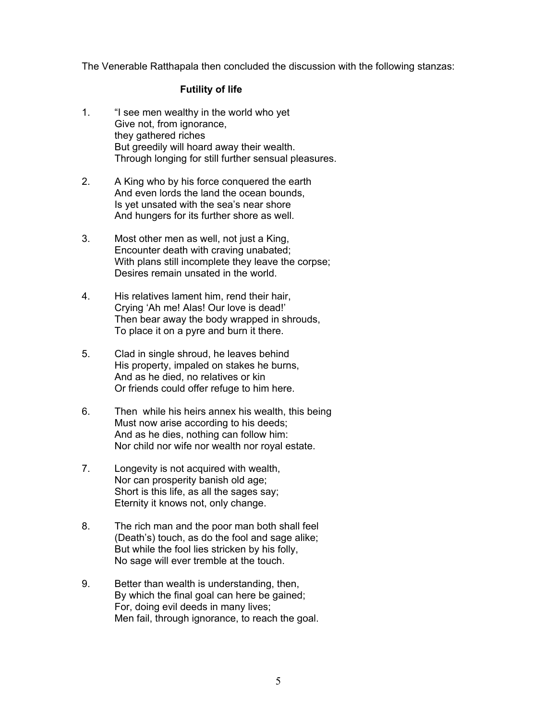The Venerable Ratthapala then concluded the discussion with the following stanzas:

### **Futility of life**

- 1. "I see men wealthy in the world who yet Give not, from ignorance, they gathered riches But greedily will hoard away their wealth. Through longing for still further sensual pleasures.
- 2. A King who by his force conquered the earth And even lords the land the ocean bounds, Is yet unsated with the sea's near shore And hungers for its further shore as well.
- 3. Most other men as well, not just a King, Encounter death with craving unabated; With plans still incomplete they leave the corpse: Desires remain unsated in the world.
- 4. His relatives lament him, rend their hair, Crying 'Ah me! Alas! Our love is dead!' Then bear away the body wrapped in shrouds, To place it on a pyre and burn it there.
- 5. Clad in single shroud, he leaves behind His property, impaled on stakes he burns, And as he died, no relatives or kin Or friends could offer refuge to him here.
- 6. Then while his heirs annex his wealth, this being Must now arise according to his deeds; And as he dies, nothing can follow him: Nor child nor wife nor wealth nor royal estate.
- 7. Longevity is not acquired with wealth, Nor can prosperity banish old age; Short is this life, as all the sages say; Eternity it knows not, only change.
- 8. The rich man and the poor man both shall feel (Death's) touch, as do the fool and sage alike; But while the fool lies stricken by his folly, No sage will ever tremble at the touch.
- 9. Better than wealth is understanding, then, By which the final goal can here be gained; For, doing evil deeds in many lives; Men fail, through ignorance, to reach the goal.